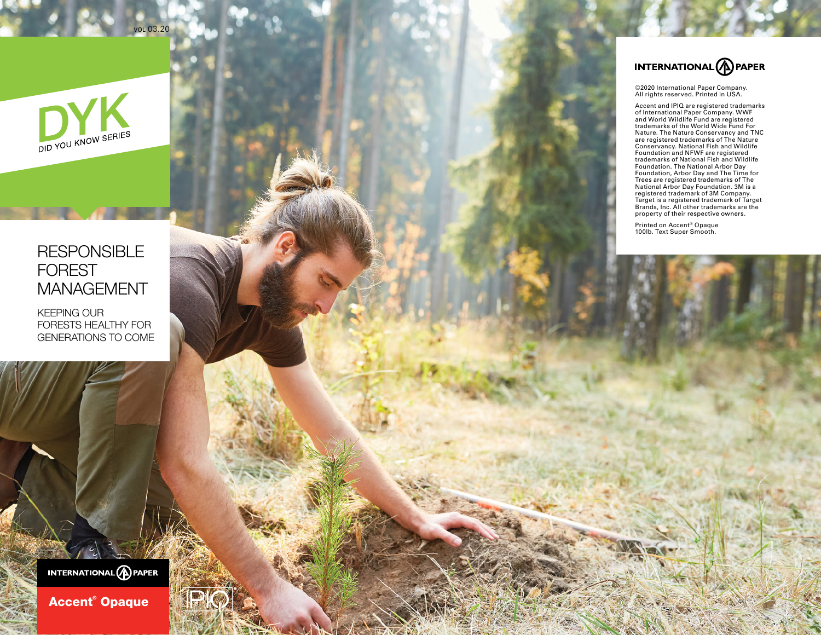

vol 03.20

## **RESPONSIBLE** FOREST MANAGEMENT

KEEPING OUR FORESTS HEALTHY FOR GENERATIONS TO COME



©2020 International Paper Company.<br>All rights reserved. Printed in USA. All rights reserved. Printed in USA.

Accent and IPIQ are registered trademarks<br>of International Paper Company. WWF<br>and World Wildlife Fund are registered<br>trademarks of the World Wide Fund For<br>Nature. The Nature Conservancy and TNC<br>Nature. The Nature Conservan

Printed on Accent® Opaque 100lb. Text Super Smooth.

INTERNATIONAL **A** PAPER

Accent® Opaque